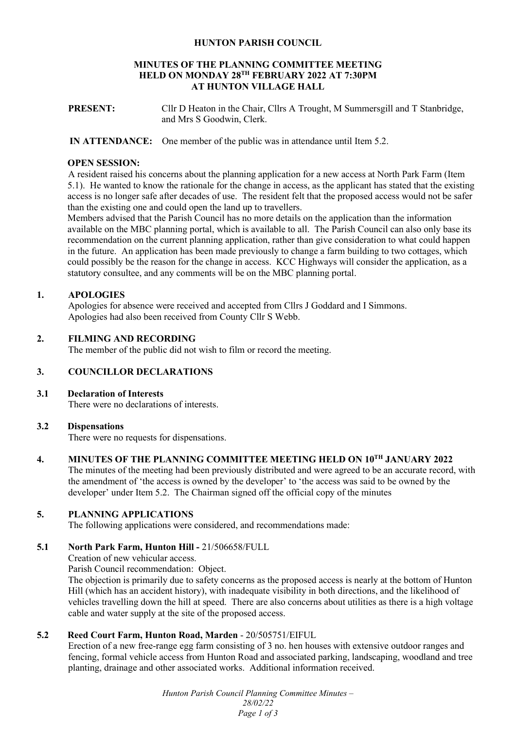#### **HUNTON PARISH COUNCIL**

#### **MINUTES OF THE PLANNING COMMITTEE MEETING HELD ON MONDAY 28TH FEBRUARY 2022 AT 7:30PM AT HUNTON VILLAGE HALL**

**PRESENT:** Cllr D Heaton in the Chair, Cllrs A Trought, M Summersgill and T Stanbridge, and Mrs S Goodwin, Clerk.

#### **IN ATTENDANCE:** One member of the public was in attendance until Item 5.2.

#### **OPEN SESSION:**

 A resident raised his concerns about the planning application for a new access at North Park Farm (Item 5.1). He wanted to know the rationale for the change in access, as the applicant has stated that the existing access is no longer safe after decades of use. The resident felt that the proposed access would not be safer than the existing one and could open the land up to travellers.

Members advised that the Parish Council has no more details on the application than the information available on the MBC planning portal, which is available to all. The Parish Council can also only base its recommendation on the current planning application, rather than give consideration to what could happen in the future. An application has been made previously to change a farm building to two cottages, which could possibly be the reason for the change in access. KCC Highways will consider the application, as a statutory consultee, and any comments will be on the MBC planning portal.

# **1. APOLOGIES**

Apologies for absence were received and accepted from Cllrs J Goddard and I Simmons. Apologies had also been received from County Cllr S Webb.

### **2. FILMING AND RECORDING**

The member of the public did not wish to film or record the meeting.

#### **3. COUNCILLOR DECLARATIONS**

#### **3.1 Declaration of Interests**

There were no declarations of interests.

#### **3.2 Dispensations**

There were no requests for dispensations.

# **4. MINUTES OF THE PLANNING COMMITTEE MEETING HELD ON 10TH JANUARY 2022**

The minutes of the meeting had been previously distributed and were agreed to be an accurate record, with the amendment of 'the access is owned by the developer' to 'the access was said to be owned by the developer' under Item 5.2. The Chairman signed off the official copy of the minutes

### **5. PLANNING APPLICATIONS**

The following applications were considered, and recommendations made:

#### **5.1 North Park Farm, Hunton Hill -** 21/506658/FULL

Creation of new vehicular access.

Parish Council recommendation: Object.

The objection is primarily due to safety concerns as the proposed access is nearly at the bottom of Hunton Hill (which has an accident history), with inadequate visibility in both directions, and the likelihood of vehicles travelling down the hill at speed. There are also concerns about utilities as there is a high voltage cable and water supply at the site of the proposed access.

### **5.2 Reed Court Farm, Hunton Road, Marden** - 20/505751/EIFUL

Erection of a new free-range egg farm consisting of 3 no. hen houses with extensive outdoor ranges and fencing, formal vehicle access from Hunton Road and associated parking, landscaping, woodland and tree planting, drainage and other associated works. Additional information received.

> *Hunton Parish Council Planning Committee Minutes – 28/02/22 Page 1 of 3*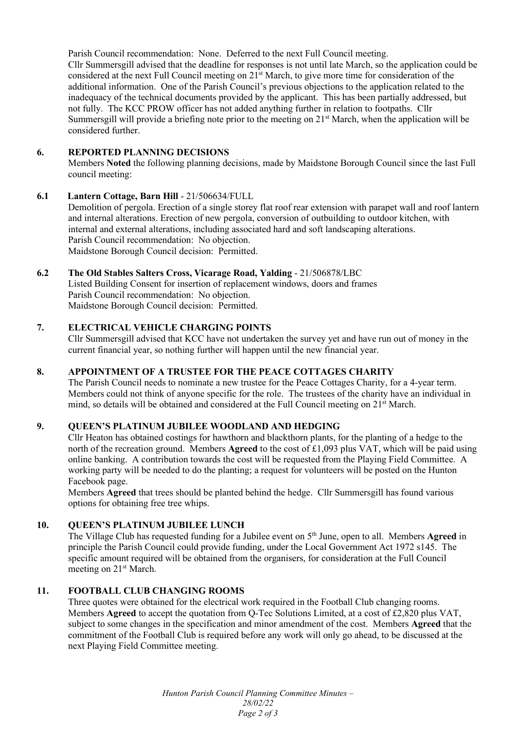Parish Council recommendation: None. Deferred to the next Full Council meeting. Cllr Summersgill advised that the deadline for responses is not until late March, so the application could be considered at the next Full Council meeting on 21st March, to give more time for consideration of the additional information. One of the Parish Council's previous objections to the application related to the inadequacy of the technical documents provided by the applicant. This has been partially addressed, but not fully. The KCC PROW officer has not added anything further in relation to footpaths. Cllr Summersgill will provide a briefing note prior to the meeting on  $21<sup>st</sup>$  March, when the application will be considered further.

### **6. REPORTED PLANNING DECISIONS**

Members **Noted** the following planning decisions, made by Maidstone Borough Council since the last Full council meeting:

### **6.1 Lantern Cottage, Barn Hill** - 21/506634/FULL

Demolition of pergola. Erection of a single storey flat roof rear extension with parapet wall and roof lantern and internal alterations. Erection of new pergola, conversion of outbuilding to outdoor kitchen, with internal and external alterations, including associated hard and soft landscaping alterations. Parish Council recommendation: No objection. Maidstone Borough Council decision: Permitted.

### **6.2 The Old Stables Salters Cross, Vicarage Road, Yalding** - 21/506878/LBC

Listed Building Consent for insertion of replacement windows, doors and frames Parish Council recommendation: No objection. Maidstone Borough Council decision: Permitted.

# **7. ELECTRICAL VEHICLE CHARGING POINTS**

Cllr Summersgill advised that KCC have not undertaken the survey yet and have run out of money in the current financial year, so nothing further will happen until the new financial year.

# **8. APPOINTMENT OF A TRUSTEE FOR THE PEACE COTTAGES CHARITY**

The Parish Council needs to nominate a new trustee for the Peace Cottages Charity, for a 4-year term. Members could not think of anyone specific for the role. The trustees of the charity have an individual in mind, so details will be obtained and considered at the Full Council meeting on 21<sup>st</sup> March.

# **9. QUEEN'S PLATINUM JUBILEE WOODLAND AND HEDGING**

Cllr Heaton has obtained costings for hawthorn and blackthorn plants, for the planting of a hedge to the north of the recreation ground. Members **Agreed** to the cost of £1,093 plus VAT, which will be paid using online banking. A contribution towards the cost will be requested from the Playing Field Committee. A working party will be needed to do the planting; a request for volunteers will be posted on the Hunton Facebook page.

Members **Agreed** that trees should be planted behind the hedge. Cllr Summersgill has found various options for obtaining free tree whips.

# **10. QUEEN'S PLATINUM JUBILEE LUNCH**

The Village Club has requested funding for a Jubilee event on 5th June, open to all. Members **Agreed** in principle the Parish Council could provide funding, under the Local Government Act 1972 s145. The specific amount required will be obtained from the organisers, for consideration at the Full Council meeting on 21<sup>st</sup> March.

# **11. FOOTBALL CLUB CHANGING ROOMS**

Three quotes were obtained for the electrical work required in the Football Club changing rooms. Members **Agreed** to accept the quotation from Q-Tec Solutions Limited, at a cost of £2,820 plus VAT, subject to some changes in the specification and minor amendment of the cost. Members **Agreed** that the commitment of the Football Club is required before any work will only go ahead, to be discussed at the next Playing Field Committee meeting.